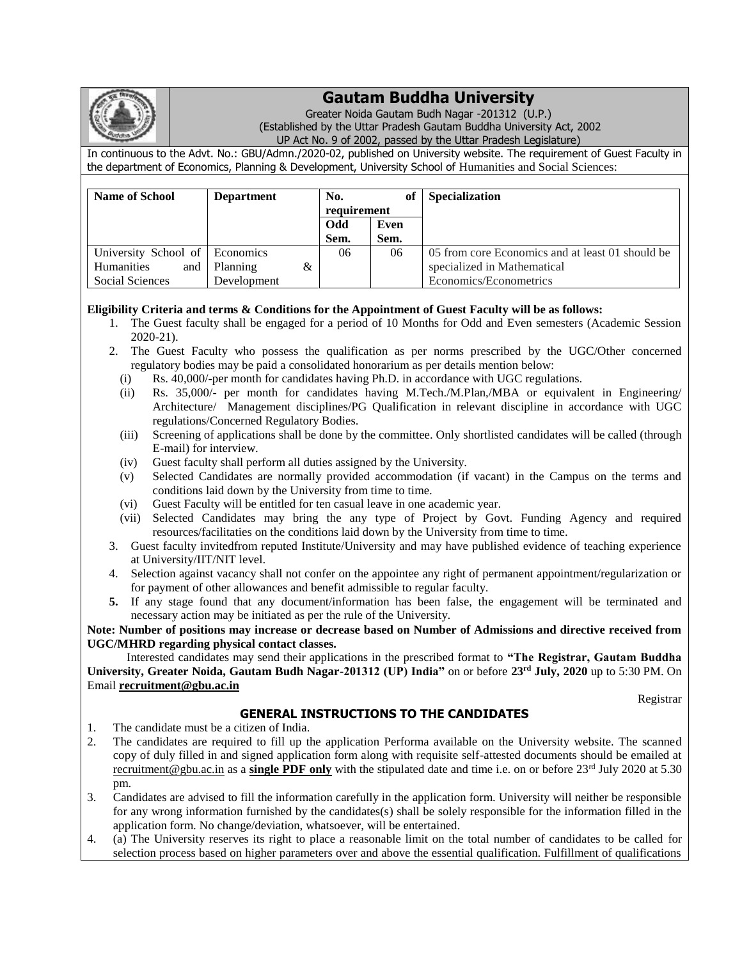

## **Gautam Buddha University**

Greater Noida Gautam Budh Nagar -201312 (U.P.) (Established by the Uttar Pradesh Gautam Buddha University Act, 2002

UP Act No. 9 of 2002, passed by the Uttar Pradesh Legislature)

In continuous to the Advt. No.: GBU/Admn./2020-02, published on University website. The requirement of Guest Faculty in the department of Economics, Planning & Development, University School of Humanities and Social Sciences:

| <b>Name of School</b>          | <b>Department</b> | No.         | of   | Specialization                                   |
|--------------------------------|-------------------|-------------|------|--------------------------------------------------|
|                                |                   | requirement |      |                                                  |
|                                |                   | <b>Odd</b>  | Even |                                                  |
|                                |                   | Sem.        | Sem. |                                                  |
| University School of Economics |                   | 06          | 06   | 05 from core Economics and at least 01 should be |
| Humanities<br>and              | Planning<br>&     |             |      | specialized in Mathematical                      |
| Social Sciences                | Development       |             |      | Economics/Econometrics                           |

## **Eligibility Criteria and terms & Conditions for the Appointment of Guest Faculty will be as follows:**

- 1. The Guest faculty shall be engaged for a period of 10 Months for Odd and Even semesters (Academic Session 2020-21).
- 2. The Guest Faculty who possess the qualification as per norms prescribed by the UGC/Other concerned regulatory bodies may be paid a consolidated honorarium as per details mention below:
	- (i) Rs. 40,000/-per month for candidates having Ph.D. in accordance with UGC regulations.
	- (ii) Rs. 35,000/- per month for candidates having M.Tech./M.Plan,/MBA or equivalent in Engineering/ Architecture/ Management disciplines/PG Qualification in relevant discipline in accordance with UGC regulations/Concerned Regulatory Bodies.
	- (iii) Screening of applications shall be done by the committee. Only shortlisted candidates will be called (through E-mail) for interview.
	- (iv) Guest faculty shall perform all duties assigned by the University.
	- (v) Selected Candidates are normally provided accommodation (if vacant) in the Campus on the terms and conditions laid down by the University from time to time.
	- (vi) Guest Faculty will be entitled for ten casual leave in one academic year.
	- (vii) Selected Candidates may bring the any type of Project by Govt. Funding Agency and required resources/facilitaties on the conditions laid down by the University from time to time.
- 3. Guest faculty invitedfrom reputed Institute/University and may have published evidence of teaching experience at University/IIT/NIT level.
- 4. Selection against vacancy shall not confer on the appointee any right of permanent appointment/regularization or for payment of other allowances and benefit admissible to regular faculty.
- **5.** If any stage found that any document/information has been false, the engagement will be terminated and necessary action may be initiated as per the rule of the University.

**Note: Number of positions may increase or decrease based on Number of Admissions and directive received from UGC/MHRD regarding physical contact classes.**

 Interested candidates may send their applications in the prescribed format to **"The Registrar, Gautam Buddha University, Greater Noida, Gautam Budh Nagar-201312 (UP) India"** on or before **23rd July, 2020** up to 5:30 PM. On Email **[recruitment@gbu.ac.in](mailto:recruitment@gbu.ac.in)**

Registrar

## **GENERAL INSTRUCTIONS TO THE CANDIDATES**

- 1. The candidate must be a citizen of India.
- 2. The candidates are required to fill up the application Performa available on the University website. The scanned copy of duly filled in and signed application form along with requisite self-attested documents should be emailed at [recruitment@gbu.ac.in](mailto:recruitment@gbu.ac.in) as a **single PDF only** with the stipulated date and time i.e. on or before 23rd July 2020 at 5.30 pm.
- 3. Candidates are advised to fill the information carefully in the application form. University will neither be responsible for any wrong information furnished by the candidates(s) shall be solely responsible for the information filled in the application form. No change/deviation, whatsoever, will be entertained.
- 4. (a) The University reserves its right to place a reasonable limit on the total number of candidates to be called for selection process based on higher parameters over and above the essential qualification. Fulfillment of qualifications